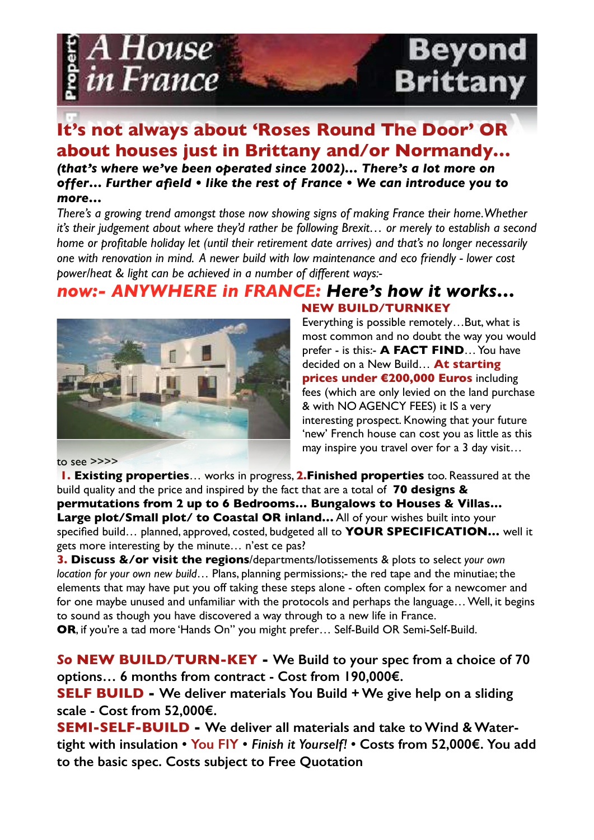

# **It's not always about 'Roses Round The Door' OR about houses just in Brittany and/or Normandy…**

*(that's where we've been operated since 2002)… There's a lot more on offer… Further afield • like the rest of France • We can introduce you to more…*

*There's a growing trend amongst those now showing signs of making France their home. Whether it's their judgement about where they'd rather be following Brexit… or merely to establish a second home or profitable holiday let (until their retirement date arrives) and that's no longer necessarily one with renovation in mind. A newer build with low maintenance and eco friendly - lower cost power/heat & light can be achieved in a number of different ways:-*

### *now:- ANYWHERE in FRANCE: Here's how it works…* **NEW BUILD/TURNKEY**



Everything is possible remotely…But, what is most common and no doubt the way you would prefer - is this:- **A FACT FIND**… You have decided on a New Build… **At starting prices under €200,000 Euros** including fees (which are only levied on the land purchase & with NO AGENCY FEES) it IS a very interesting prospect. Knowing that your future 'new' French house can cost you as little as this may inspire you travel over for a 3 day visit…

to see >>>>

**1. Existing properties**… works in progress, **2.Finished properties** too. Reassured at the build quality and the price and inspired by the fact that are a total of **70 designs & permutations from 2 up to 6 Bedrooms… Bungalows to Houses & Villas…**  Large plot/Small plot/ to Coastal OR inland... All of your wishes built into your specified build… planned, approved, costed, budgeted all to **YOUR SPECIFICATION…** well it gets more interesting by the minute… n'est ce pas?

**3. Discuss &/or visit the regions**/departments/lotissements & plots to select *your own location for your own new build*… Plans, planning permissions;- the red tape and the minutiae; the elements that may have put you off taking these steps alone - often complex for a newcomer and for one maybe unused and unfamiliar with the protocols and perhaps the language… Well, it begins to sound as though you have discovered a way through to a new life in France.

**OR**, if you're a tad more 'Hands On" you might prefer… Self-Build OR Semi-Self-Build.

*So* **NEW BUILD/TURN-KEY - We Build to your spec from a choice of 70 options… 6 months from contract - Cost from 190,000€.**

**SELF BUILD - We deliver materials You Build + We give help on a sliding scale - Cost from 52,000€.** 

**SEMI-SELF-BUILD - We deliver all materials and take to Wind & Watertight with insulation • You FIY •** *Finish it Yourself!* **• Costs from 52,000€. You add to the basic spec. Costs subject to Free Quotation**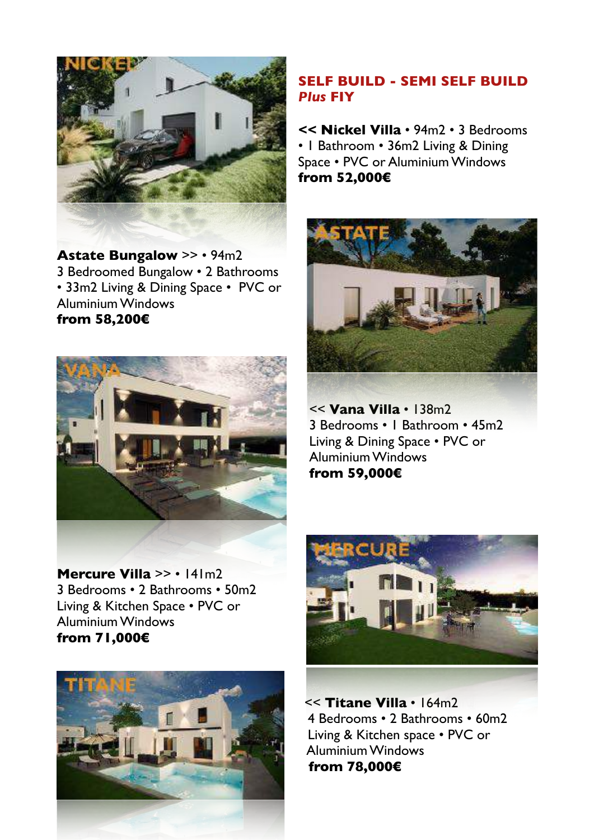

**Astate Bungalow** >> • 94m2 3 Bedroomed Bungalow • 2 Bathrooms • 33m2 Living & Dining Space • PVC or Aluminium Windows **from 58,200€**



**Mercure Villa** >> • 141m2 3 Bedrooms • 2 Bathrooms • 50m2 Living & Kitchen Space • PVC or Aluminium Windows **from 71,000€**



### **SELF BUILD - SEMI SELF BUILD**  *Plus* **FIY**

**<< Nickel Villa** • 94m2 • 3 Bedrooms • 1 Bathroom • 36m2 Living & Dining Space • PVC or Aluminium Windows **from 52,000€**



<< **Vana Villa** • 138m2 3 Bedrooms • 1 Bathroom • 45m2 Living & Dining Space • PVC or Aluminium Windows **from 59,000€**



<< **Titane Villa** • 164m2 4 Bedrooms • 2 Bathrooms • 60m2 Living & Kitchen space • PVC or Aluminium Windows  **from 78,000€**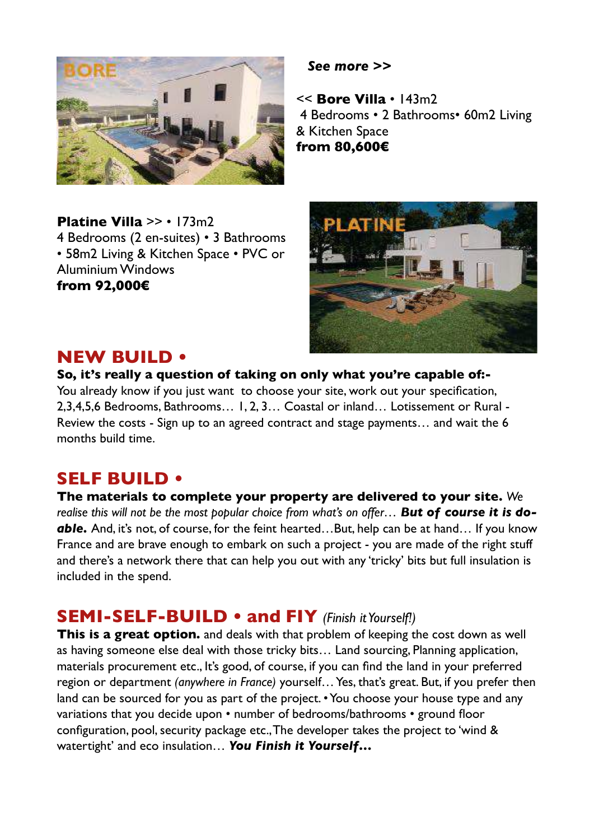

**Platine Villa >> • 173m2** 4 Bedrooms (2 en-suites) • 3 Bathrooms • 58m2 Living & Kitchen Space • PVC or Aluminium Windows **from 92,000€**

 *See more >>*

<< **Bore Villa** • 143m2 4 Bedrooms • 2 Bathrooms• 60m2 Living & Kitchen Space **from 80,600€**



## **NEW BUILD •**

**So, it's really a question of taking on only what you're capable of:-** You already know if you just want to choose your site, work out your specification, 2,3,4,5,6 Bedrooms, Bathrooms… 1, 2, 3… Coastal or inland… Lotissement or Rural - Review the costs - Sign up to an agreed contract and stage payments… and wait the 6 months build time.

## **SELF BUILD •**

**The materials to complete your property are delivered to your site.** *We*  realise this will not be the most popular choice from what's on offer... But of course it is do*able.* And, it's not, of course, for the feint hearted…But, help can be at hand… If you know France and are brave enough to embark on such a project - you are made of the right stuff and there's a network there that can help you out with any 'tricky' bits but full insulation is included in the spend.

## **SEMI-SELF-BUILD • and FIY** *(Finish it Yourself!)*

**This is a great option.** and deals with that problem of keeping the cost down as well as having someone else deal with those tricky bits… Land sourcing, Planning application, materials procurement etc., It's good, of course, if you can find the land in your preferred region or department *(anywhere in France)* yourself… Yes, that's great. But, if you prefer then land can be sourced for you as part of the project. • You choose your house type and any variations that you decide upon • number of bedrooms/bathrooms • ground floor configuration, pool, security package etc., The developer takes the project to 'wind & watertight' and eco insulation… *You Finish it Yourself…*